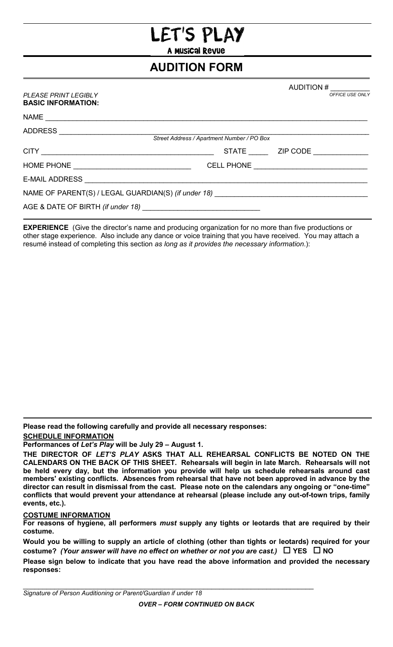## ET'S PLAY

A Musical Revue

## **AUDITION FORM**

## *PLEASE PRINT LEGIBLY* **BASIC INFORMATION:**

AUDITION # \_\_\_\_\_\_\_\_\_\_ *OFFICE USE ONLY*

| ADDRESS _______________________                                                   |  |                                          |  |  |  |  |  |  |
|-----------------------------------------------------------------------------------|--|------------------------------------------|--|--|--|--|--|--|
| Street Address / Apartment Number / PO Box                                        |  |                                          |  |  |  |  |  |  |
|                                                                                   |  | STATE __________ ZIP CODE ______________ |  |  |  |  |  |  |
|                                                                                   |  |                                          |  |  |  |  |  |  |
|                                                                                   |  |                                          |  |  |  |  |  |  |
| NAME OF PARENT(S) / LEGAL GUARDIAN(S) (if under 18) _____________________________ |  |                                          |  |  |  |  |  |  |
|                                                                                   |  |                                          |  |  |  |  |  |  |

**EXPERIENCE** (Give the director's name and producing organization for no more than five productions or other stage experience. Also include any dance or voice training that you have received. You may attach a resumé instead of completing this section *as long as it provides the necessary information*.):

**Please read the following carefully and provide all necessary responses:** 

**SCHEDULE INFORMATION**

**Performances of** *Let's Play* **will be July 29 – August 1.**

## **COSTUME INFORMATION**

**For reasons of hygiene, all performers** *must* **supply any tights or leotards that are required by their costume.**

**Would you be willing to supply an article of clothing (other than tights or leotards) required for your costume?** *(Your answer will have no effect on whether or not you are cast.)* **YES NO**

**Please sign below to indicate that you have read the above information and provided the necessary responses:**

**THE DIRECTOR OF** *LET'S PLAY* **ASKS THAT ALL REHEARSAL CONFLICTS BE NOTED ON THE CALENDARS ON THE BACK OF THIS SHEET. Rehearsals will begin in late March. Rehearsals will not be held every day, but the information you provide will help us schedule rehearsals around cast members' existing conflicts. Absences from rehearsal that have not been approved in advance by the director can result in dismissal from the cast. Please note on the calendars any ongoing or "one-time" conflicts that would prevent your attendance at rehearsal (please include any out-of-town trips, family events, etc.).**